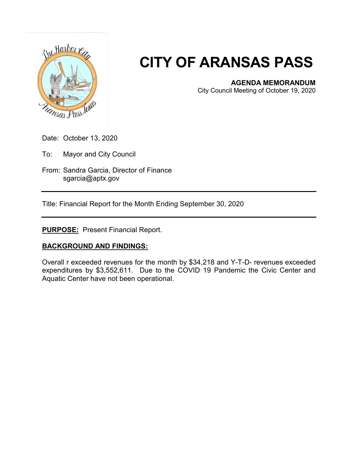

## **CITY OF ARANSAS PASS**

## **AGENDA MEMORANDUM**

City Council Meeting of October 19, 2020

Date: October 13, 2020

To: Mayor and City Council

From: Sandra Garcia, Director of Finance sgarcia@aptx.gov

Title: Financial Report for the Month Ending September 30, 2020

**PURPOSE:** Present Financial Report.

## **BACKGROUND AND FINDINGS:**

Overall r exceeded revenues for the month by \$34,218 and Y-T-D- revenues exceeded expenditures by \$3,552,611. Due to the COVID 19 Pandemic the Civic Center and Aquatic Center have not been operational.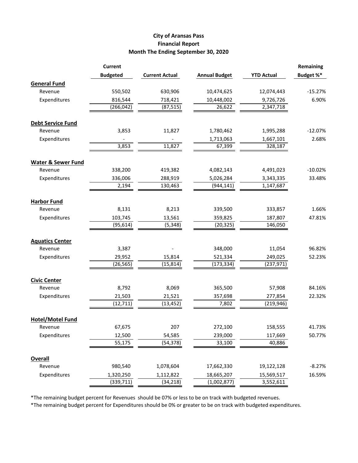## **City of Aransas Pass Financial Report Month The Ending September 30, 2020**

|                               | <b>Current</b>  |                       |                      |                   | Remaining |
|-------------------------------|-----------------|-----------------------|----------------------|-------------------|-----------|
|                               | <b>Budgeted</b> | <b>Current Actual</b> | <b>Annual Budget</b> | <b>YTD Actual</b> | Budget %* |
| <b>General Fund</b>           |                 |                       |                      |                   |           |
| Revenue                       | 550,502         | 630,906               | 10,474,625           | 12,074,443        | $-15.27%$ |
| Expenditures                  | 816,544         | 718,421               | 10,448,002           | 9,726,726         | 6.90%     |
|                               | (266, 042)      | (87, 515)             | 26,622               | 2,347,718         |           |
|                               |                 |                       |                      |                   |           |
| <b>Debt Service Fund</b>      |                 |                       |                      |                   |           |
| Revenue                       | 3,853           | 11,827                | 1,780,462            | 1,995,288         | $-12.07%$ |
| Expenditures                  |                 |                       | 1,713,063            | 1,667,101         | 2.68%     |
|                               | 3,853           | 11,827                | 67,399               | 328,187           |           |
| <b>Water &amp; Sewer Fund</b> |                 |                       |                      |                   |           |
| Revenue                       | 338,200         | 419,382               | 4,082,143            | 4,491,023         | $-10.02%$ |
| Expenditures                  | 336,006         | 288,919               | 5,026,284            | 3,343,335         | 33.48%    |
|                               | 2,194           | 130,463               | (944, 141)           | 1,147,687         |           |
| <b>Harbor Fund</b>            |                 |                       |                      |                   |           |
| Revenue                       | 8,131           | 8,213                 | 339,500              | 333,857           | 1.66%     |
| Expenditures                  | 103,745         | 13,561                | 359,825              | 187,807           | 47.81%    |
|                               | (95, 614)       | (5, 348)              | (20, 325)            | 146,050           |           |
|                               |                 |                       |                      |                   |           |
| <b>Aquatics Center</b>        |                 |                       |                      |                   |           |
| Revenue                       | 3,387           |                       | 348,000              | 11,054            | 96.82%    |
| Expenditures                  | 29,952          | 15,814                | 521,334              | 249,025           | 52.23%    |
|                               | (26, 565)       | (15, 814)             | (173, 334)           | (237, 971)        |           |
| <b>Civic Center</b>           |                 |                       |                      |                   |           |
| Revenue                       | 8,792           | 8,069                 | 365,500              | 57,908            | 84.16%    |
| Expenditures                  | 21,503          | 21,521                | 357,698              | 277,854           | 22.32%    |
|                               | (12, 711)       | (13, 452)             | 7,802                | (219, 946)        |           |
| <b>Hotel/Motel Fund</b>       |                 |                       |                      |                   |           |
| Revenue                       | 67,675          | 207                   | 272,100              | 158,555           | 41.73%    |
|                               |                 |                       |                      |                   |           |
| Expenditures                  | 12,500          | 54,585                | 239,000              | 117,669           | 50.77%    |
|                               | 55,175          | (54, 378)             | 33,100               | 40,886            |           |
| <b>Overall</b>                |                 |                       |                      |                   |           |
| Revenue                       | 980,540         | 1,078,604             | 17,662,330           | 19,122,128        | $-8.27%$  |
| Expenditures                  | 1,320,250       | 1,112,822             | 18,665,207           | 15,569,517        | 16.59%    |
|                               | (339,711)       | (34, 218)             | (1,002,877)          | 3,552,611         |           |

\*The remaining budget percent for Revenues should be 07% or less to be on track with budgeted revenues.

\*The remaining budget percent for Expenditures should be 0% or greater to be on track with budgeted expenditures.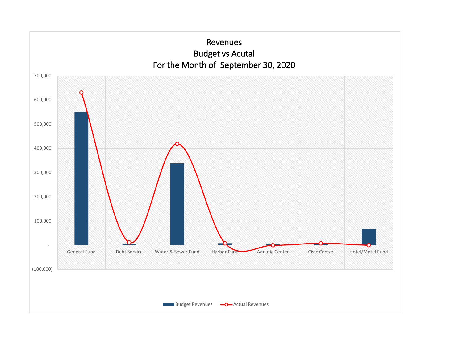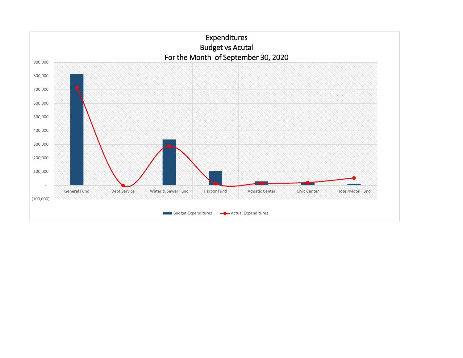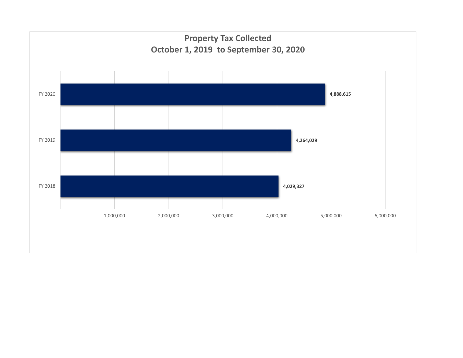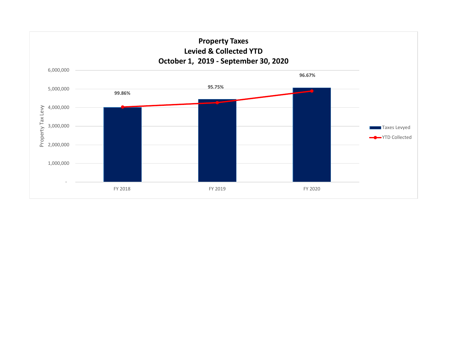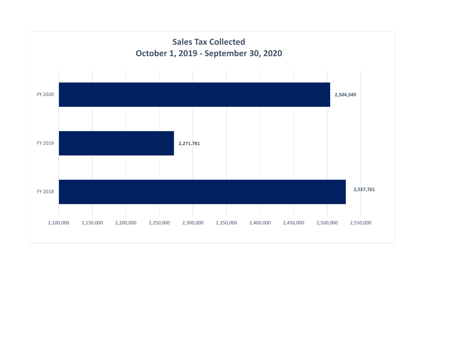